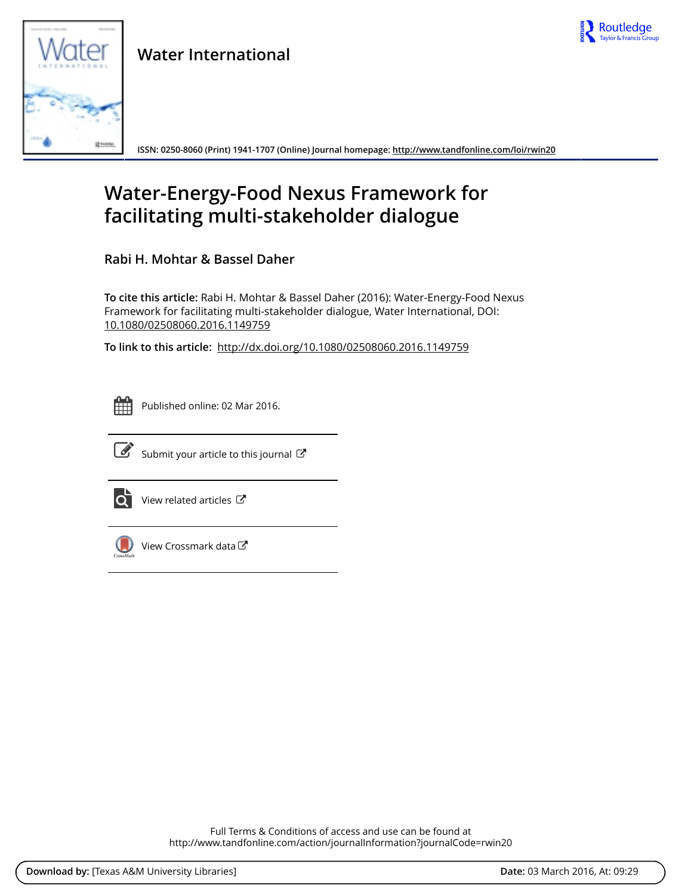

# **Water International**



**ISSN: 0250-8060 (Print) 1941-1707 (Online) Journal homepage:<http://www.tandfonline.com/loi/rwin20>**

# **Water-Energy-Food Nexus Framework for facilitating multi-stakeholder dialogue**

**Rabi H. Mohtar & Bassel Daher**

**To cite this article:** Rabi H. Mohtar & Bassel Daher (2016): Water-Energy-Food Nexus Framework for facilitating multi-stakeholder dialogue, Water International, DOI: [10.1080/02508060.2016.1149759](http://www.tandfonline.com/action/showCitFormats?doi=10.1080/02508060.2016.1149759)

**To link to this article:** <http://dx.doi.org/10.1080/02508060.2016.1149759>



Published online: 02 Mar 2016.



 $\overrightarrow{S}$  [Submit your article to this journal](http://www.tandfonline.com/action/authorSubmission?journalCode=rwin20&page=instructions)  $\overrightarrow{S}$ 



[View related articles](http://www.tandfonline.com/doi/mlt/10.1080/02508060.2016.1149759)  $\mathbb{Z}$ 



[View Crossmark data](http://crossmark.crossref.org/dialog/?doi=10.1080/02508060.2016.1149759&domain=pdf&date_stamp=2016-03-02) $\mathbb{Z}$ 

Full Terms & Conditions of access and use can be found at <http://www.tandfonline.com/action/journalInformation?journalCode=rwin20>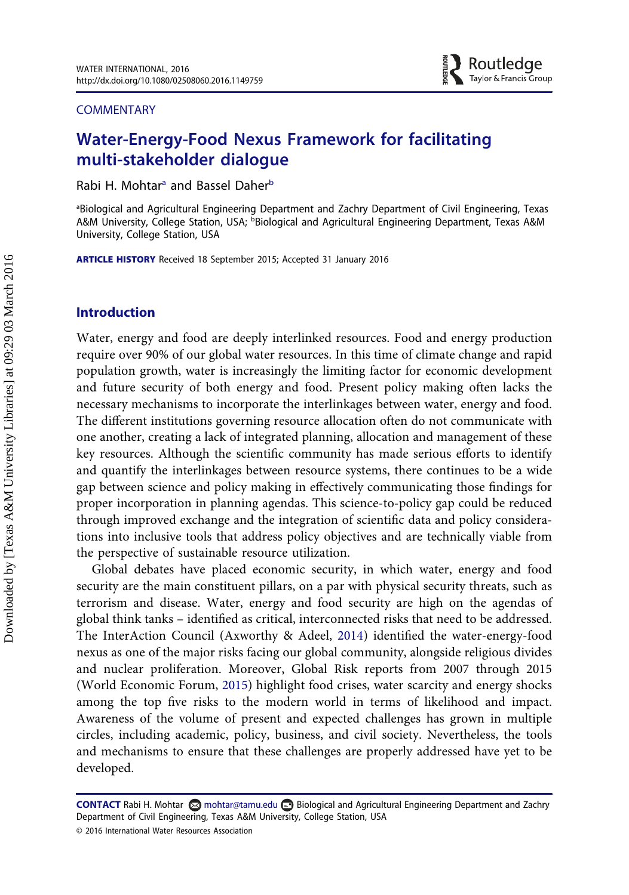#### **COMMENTARY**

# Water-Energy-Food Nexus Framework for facilitating multi-stakeholder dialogue

Ra[b](#page-1-1)i H. Mohtar<sup>a</sup> and Bassel Daher<sup>b</sup>

<span id="page-1-1"></span><span id="page-1-0"></span><sup>a</sup>Biological and Agricultural Engineering Department and Zachry Department of Civil Engineering, Texas A&M University, College Station, USA; <sup>b</sup>Biological and Agricultural Engineering Department, Texas A&M University, College Station, USA

ARTICLE HISTORY Received 18 September 2015; Accepted 31 January 2016

## Introduction

Water, energy and food are deeply interlinked resources. Food and energy production require over 90% of our global water resources. In this time of climate change and rapid population growth, water is increasingly the limiting factor for economic development and future security of both energy and food. Present policy making often lacks the necessary mechanisms to incorporate the interlinkages between water, energy and food. The different institutions governing resource allocation often do not communicate with one another, creating a lack of integrated planning, allocation and management of these key resources. Although the scientific community has made serious efforts to identify and quantify the interlinkages between resource systems, there continues to be a wide gap between science and policy making in effectively communicating those findings for proper incorporation in planning agendas. This science-to-policy gap could be reduced through improved exchange and the integration of scientific data and policy considerations into inclusive tools that address policy objectives and are technically viable from the perspective of sustainable resource utilization.

<span id="page-1-3"></span><span id="page-1-2"></span>Global debates have placed economic security, in which water, energy and food security are the main constituent pillars, on a par with physical security threats, such as terrorism and disease. Water, energy and food security are high on the agendas of global think tanks – identified as critical, interconnected risks that need to be addressed. The InterAction Council (Axworthy & Adeel, [2014](#page-7-0)) identified the water-energy-food nexus as one of the major risks facing our global community, alongside religious divides and nuclear proliferation. Moreover, Global Risk reports from 2007 through 2015 (World Economic Forum, [2015\)](#page-7-1) highlight food crises, water scarcity and energy shocks among the top five risks to the modern world in terms of likelihood and impact. Awareness of the volume of present and expected challenges has grown in multiple circles, including academic, policy, business, and civil society. Nevertheless, the tools and mechanisms to ensure that these challenges are properly addressed have yet to be developed.

CONTACT Rabi H. Mohtar <sup>2</sup> mohtar@tamu.edu **■** Biological and Agricultural Engineering Department and Zachry Department of Civil Engineering, Texas A&M University, College Station, USA

© 2016 International Water Resources Association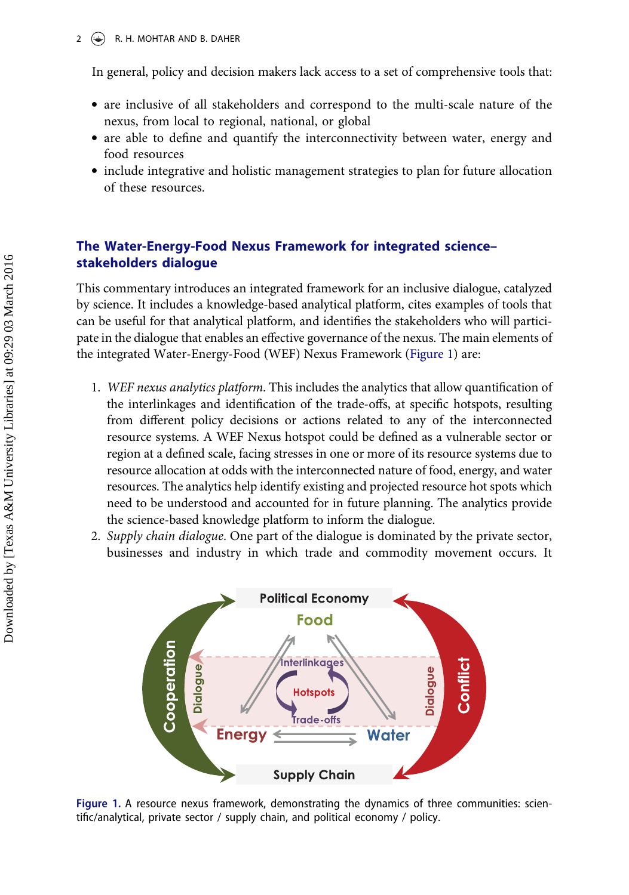#### 2  $\left(\rightarrow\right)$  R. H. MOHTAR AND B. DAHER

In general, policy and decision makers lack access to a set of comprehensive tools that:

- are inclusive of all stakeholders and correspond to the multi-scale nature of the nexus, from local to regional, national, or global
- are able to define and quantify the interconnectivity between water, energy and food resources
- include integrative and holistic management strategies to plan for future allocation of these resources.

# The Water-Energy-Food Nexus Framework for integrated science– stakeholders dialogue

This commentary introduces an integrated framework for an inclusive dialogue, catalyzed by science. It includes a knowledge-based analytical platform, cites examples of tools that can be useful for that analytical platform, and identifies the stakeholders who will participate in the dialogue that enables an effective governance of the nexus. The main elements of the integrated Water-Energy-Food (WEF) Nexus Framework [\(Figure 1\)](#page-2-0) are:

- 1. WEF nexus analytics platform. This includes the analytics that allow quantification of the interlinkages and identification of the trade-offs, at specific hotspots, resulting from different policy decisions or actions related to any of the interconnected resource systems. A WEF Nexus hotspot could be defined as a vulnerable sector or region at a defined scale, facing stresses in one or more of its resource systems due to resource allocation at odds with the interconnected nature of food, energy, and water resources. The analytics help identify existing and projected resource hot spots which need to be understood and accounted for in future planning. The analytics provide the science-based knowledge platform to inform the dialogue.
- 2. Supply chain dialogue. One part of the dialogue is dominated by the private sector, businesses and industry in which trade and commodity movement occurs. It



<span id="page-2-0"></span>Figure 1. A resource nexus framework, demonstrating the dynamics of three communities: scientific/analytical, private sector / supply chain, and political economy / policy.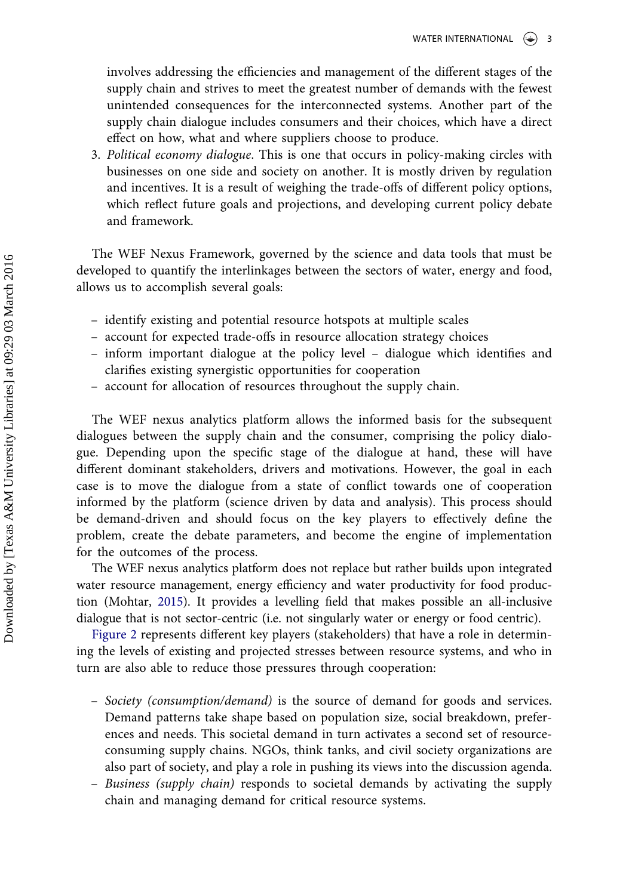involves addressing the efficiencies and management of the different stages of the supply chain and strives to meet the greatest number of demands with the fewest unintended consequences for the interconnected systems. Another part of the supply chain dialogue includes consumers and their choices, which have a direct effect on how, what and where suppliers choose to produce.

3. Political economy dialogue. This is one that occurs in policy-making circles with businesses on one side and society on another. It is mostly driven by regulation and incentives. It is a result of weighing the trade-offs of different policy options, which reflect future goals and projections, and developing current policy debate and framework.

The WEF Nexus Framework, governed by the science and data tools that must be developed to quantify the interlinkages between the sectors of water, energy and food, allows us to accomplish several goals:

- identify existing and potential resource hotspots at multiple scales
- account for expected trade-offs in resource allocation strategy choices
- inform important dialogue at the policy level dialogue which identifies and clarifies existing synergistic opportunities for cooperation
- account for allocation of resources throughout the supply chain.

The WEF nexus analytics platform allows the informed basis for the subsequent dialogues between the supply chain and the consumer, comprising the policy dialogue. Depending upon the specific stage of the dialogue at hand, these will have different dominant stakeholders, drivers and motivations. However, the goal in each case is to move the dialogue from a state of conflict towards one of cooperation informed by the platform (science driven by data and analysis). This process should be demand-driven and should focus on the key players to effectively define the problem, create the debate parameters, and become the engine of implementation for the outcomes of the process.

<span id="page-3-0"></span>The WEF nexus analytics platform does not replace but rather builds upon integrated water resource management, energy efficiency and water productivity for food production (Mohtar, [2015\)](#page-7-2). It provides a levelling field that makes possible an all-inclusive dialogue that is not sector-centric (i.e. not singularly water or energy or food centric).

[Figure 2](#page-4-0) represents different key players (stakeholders) that have a role in determining the levels of existing and projected stresses between resource systems, and who in turn are also able to reduce those pressures through cooperation:

- Society (consumption/demand) is the source of demand for goods and services. Demand patterns take shape based on population size, social breakdown, preferences and needs. This societal demand in turn activates a second set of resourceconsuming supply chains. NGOs, think tanks, and civil society organizations are also part of society, and play a role in pushing its views into the discussion agenda.
- Business (supply chain) responds to societal demands by activating the supply chain and managing demand for critical resource systems.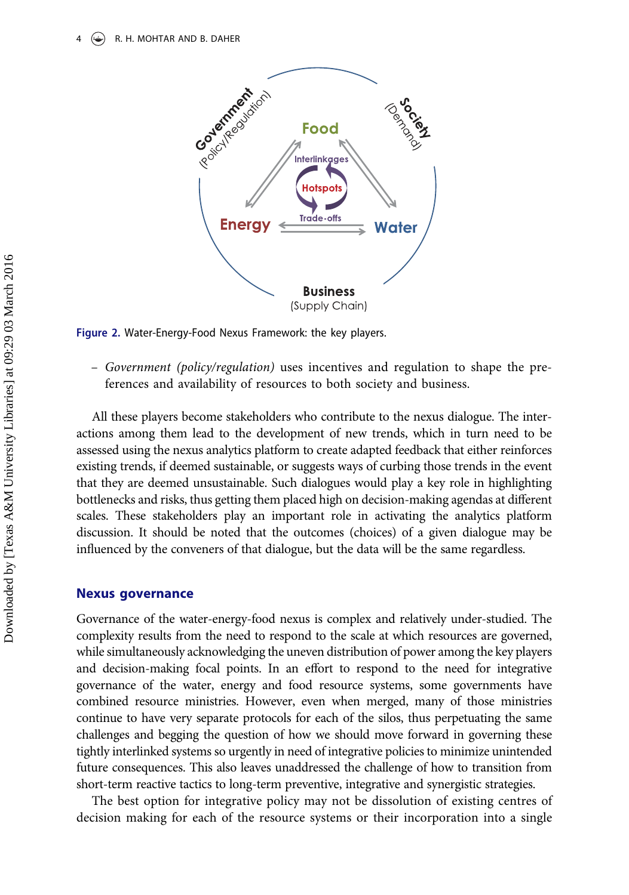

<span id="page-4-0"></span>Figure 2. Water-Energy-Food Nexus Framework: the key players.

– Government (policy/regulation) uses incentives and regulation to shape the preferences and availability of resources to both society and business.

All these players become stakeholders who contribute to the nexus dialogue. The interactions among them lead to the development of new trends, which in turn need to be assessed using the nexus analytics platform to create adapted feedback that either reinforces existing trends, if deemed sustainable, or suggests ways of curbing those trends in the event that they are deemed unsustainable. Such dialogues would play a key role in highlighting bottlenecks and risks, thus getting them placed high on decision-making agendas at different scales. These stakeholders play an important role in activating the analytics platform discussion. It should be noted that the outcomes (choices) of a given dialogue may be influenced by the conveners of that dialogue, but the data will be the same regardless.

#### Nexus governance

Governance of the water-energy-food nexus is complex and relatively under-studied. The complexity results from the need to respond to the scale at which resources are governed, while simultaneously acknowledging the uneven distribution of power among the key players and decision-making focal points. In an effort to respond to the need for integrative governance of the water, energy and food resource systems, some governments have combined resource ministries. However, even when merged, many of those ministries continue to have very separate protocols for each of the silos, thus perpetuating the same challenges and begging the question of how we should move forward in governing these tightly interlinked systems so urgently in need of integrative policies to minimize unintended future consequences. This also leaves unaddressed the challenge of how to transition from short-term reactive tactics to long-term preventive, integrative and synergistic strategies.

The best option for integrative policy may not be dissolution of existing centres of decision making for each of the resource systems or their incorporation into a single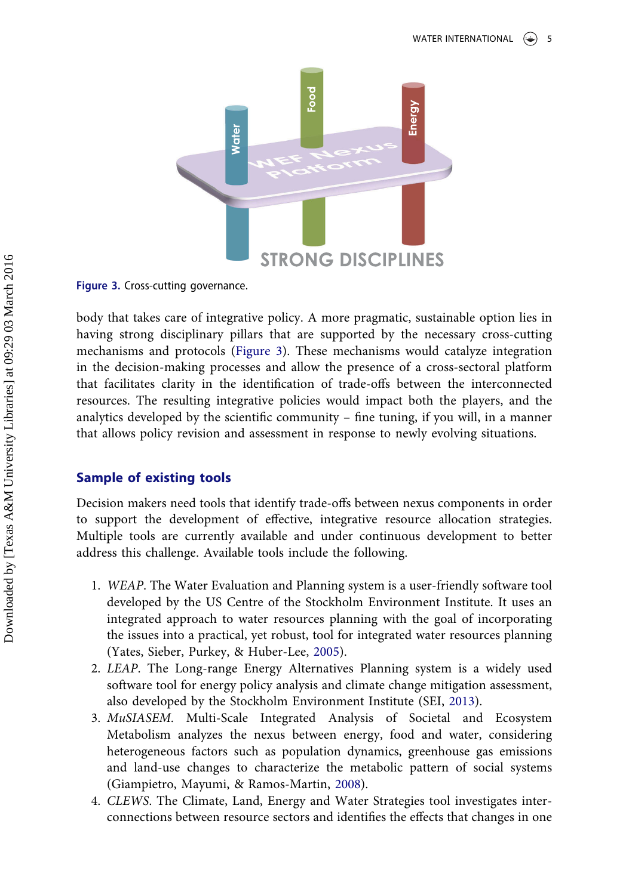

<span id="page-5-0"></span>Figure 3. Cross-cutting governance.

body that takes care of integrative policy. A more pragmatic, sustainable option lies in having strong disciplinary pillars that are supported by the necessary cross-cutting mechanisms and protocols ([Figure 3](#page-5-0)). These mechanisms would catalyze integration in the decision-making processes and allow the presence of a cross-sectoral platform that facilitates clarity in the identification of trade-offs between the interconnected resources. The resulting integrative policies would impact both the players, and the analytics developed by the scientific community – fine tuning, if you will, in a manner that allows policy revision and assessment in response to newly evolving situations.

### Sample of existing tools

Decision makers need tools that identify trade-offs between nexus components in order to support the development of effective, integrative resource allocation strategies. Multiple tools are currently available and under continuous development to better address this challenge. Available tools include the following.

- 1. WEAP. The Water Evaluation and Planning system is a user-friendly software tool developed by the US Centre of the Stockholm Environment Institute. It uses an integrated approach to water resources planning with the goal of incorporating the issues into a practical, yet robust, tool for integrated water resources planning (Yates, Sieber, Purkey, & Huber-Lee, [2005](#page-7-3)).
- <span id="page-5-3"></span>2. LEAP. The Long-range Energy Alternatives Planning system is a widely used software tool for energy policy analysis and climate change mitigation assessment, also developed by the Stockholm Environment Institute (SEI, [2013](#page-7-4)).
- <span id="page-5-2"></span>3. MuSIASEM. Multi-Scale Integrated Analysis of Societal and Ecosystem Metabolism analyzes the nexus between energy, food and water, considering heterogeneous factors such as population dynamics, greenhouse gas emissions and land-use changes to characterize the metabolic pattern of social systems (Giampietro, Mayumi, & Ramos-Martin, [2008\)](#page-7-5).
- <span id="page-5-1"></span>4. CLEWS. The Climate, Land, Energy and Water Strategies tool investigates interconnections between resource sectors and identifies the effects that changes in one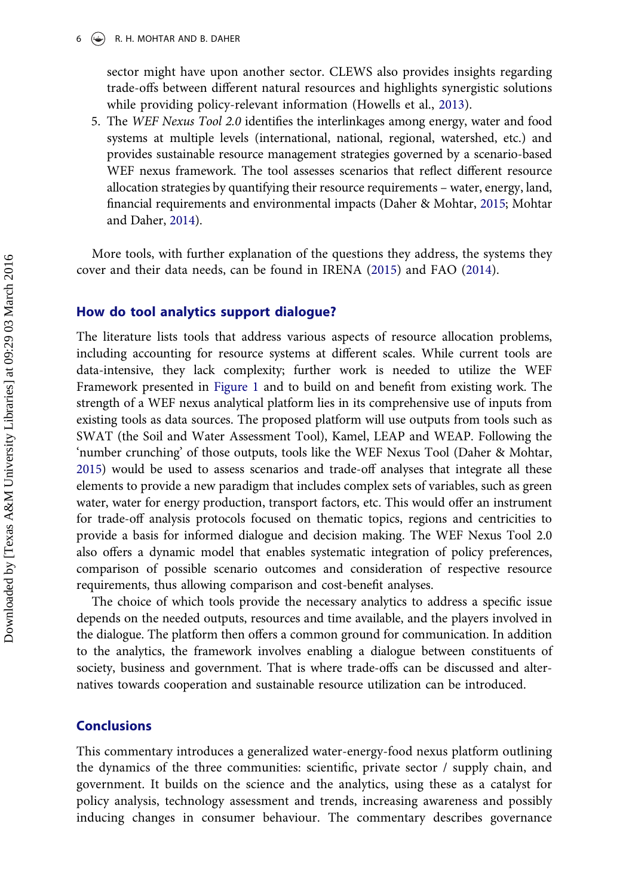#### $6 \quad \circledast$  R. H. MOHTAR AND B. DAHER

sector might have upon another sector. CLEWS also provides insights regarding trade-offs between different natural resources and highlights synergistic solutions while providing policy-relevant information (Howells et al., [2013](#page-7-6)).

<span id="page-6-2"></span>5. The WEF Nexus Tool 2.0 identifies the interlinkages among energy, water and food systems at multiple levels (international, national, regional, watershed, etc.) and provides sustainable resource management strategies governed by a scenario-based WEF nexus framework. The tool assesses scenarios that reflect different resource allocation strategies by quantifying their resource requirements – water, energy, land, financial requirements and environmental impacts (Daher & Mohtar, [2015](#page-7-7); Mohtar and Daher, [2014\)](#page-7-8).

<span id="page-6-3"></span><span id="page-6-1"></span>More tools, with further explanation of the questions they address, the systems they cover and their data needs, can be found in IRENA [\(2015](#page-7-9)) and FAO ([2014\)](#page-7-10).

#### How do tool analytics support dialogue?

<span id="page-6-0"></span>The literature lists tools that address various aspects of resource allocation problems, including accounting for resource systems at different scales. While current tools are data-intensive, they lack complexity; further work is needed to utilize the WEF Framework presented in [Figure 1](#page-2-0) and to build on and benefit from existing work. The strength of a WEF nexus analytical platform lies in its comprehensive use of inputs from existing tools as data sources. The proposed platform will use outputs from tools such as SWAT (the Soil and Water Assessment Tool), Kamel, LEAP and WEAP. Following the 'number crunching' of those outputs, tools like the WEF Nexus Tool (Daher & Mohtar, [2015\)](#page-7-7) would be used to assess scenarios and trade-off analyses that integrate all these elements to provide a new paradigm that includes complex sets of variables, such as green water, water for energy production, transport factors, etc. This would offer an instrument for trade-off analysis protocols focused on thematic topics, regions and centricities to provide a basis for informed dialogue and decision making. The WEF Nexus Tool 2.0 also offers a dynamic model that enables systematic integration of policy preferences, comparison of possible scenario outcomes and consideration of respective resource requirements, thus allowing comparison and cost-benefit analyses.

The choice of which tools provide the necessary analytics to address a specific issue depends on the needed outputs, resources and time available, and the players involved in the dialogue. The platform then offers a common ground for communication. In addition to the analytics, the framework involves enabling a dialogue between constituents of society, business and government. That is where trade-offs can be discussed and alternatives towards cooperation and sustainable resource utilization can be introduced.

# **Conclusions**

This commentary introduces a generalized water-energy-food nexus platform outlining the dynamics of the three communities: scientific, private sector / supply chain, and government. It builds on the science and the analytics, using these as a catalyst for policy analysis, technology assessment and trends, increasing awareness and possibly inducing changes in consumer behaviour. The commentary describes governance